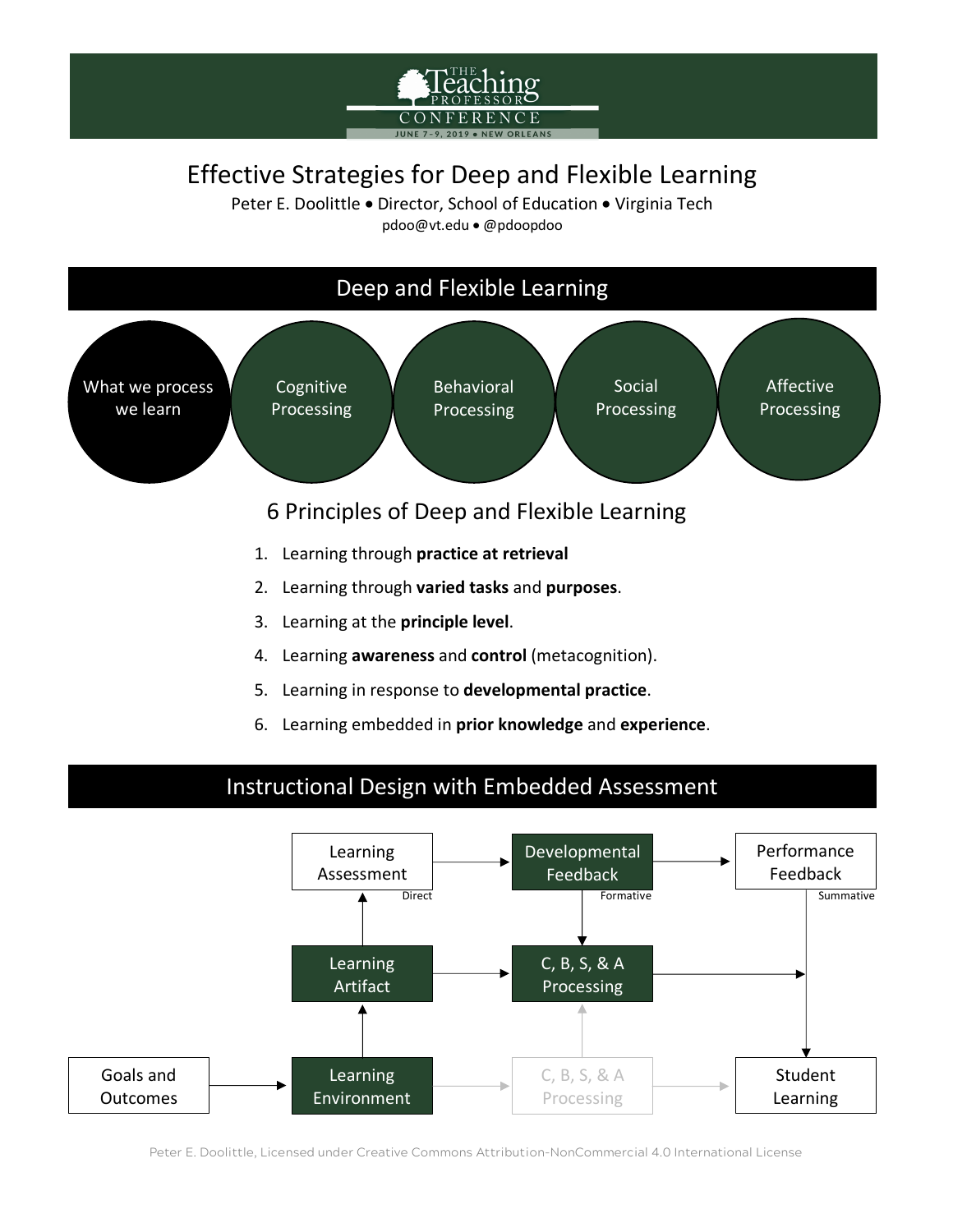# Effective Strategies for Deep and Flexible Learning

Peter E. Doolittle • Director, School of Education • Virginia Tech pdoo@vt.edu • @pdoopdoo



6. Learning embedded in **prior knowledge** and **experience**.

### Instructional Design with Embedded Assessment



Peter E. Doolittle, Licensed under Creative Commons Attribution-NonCommercial 4.0 International License